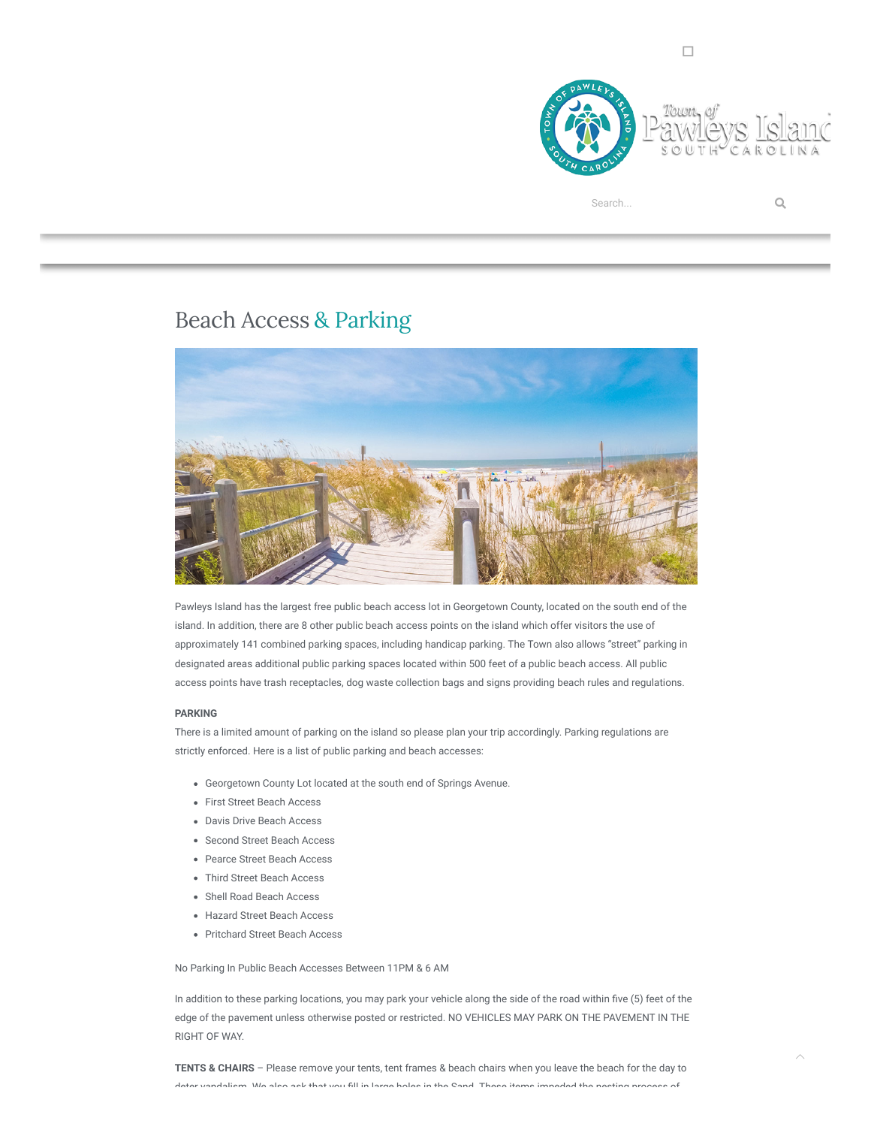

## Beach Access & Parking



Pawleys Island has the largest free public beach access lot in Georgetown County, located on the south end of the island. In addition, there are 8 other public beach access points on the island which offer visitors the use of approximately 141 combined parking spaces, including handicap parking. The Town also allows "street" parking in designated areas additional public parking spaces located within 500 feet of a public beach access. All public access points have trash receptacles, dog waste collection bags and signs providing beach rules and regulations.

## **PARKING**

There is a limited amount of parking on the island so please plan your trip accordingly. Parking regulations are strictly enforced. Here is a list of public parking and beach accesses:

- Georgetown County Lot located at the south end of Springs Avenue.
- First Street Beach Access
- Davis Drive Beach Access
- Second Street Beach Access
- Pearce Street Beach Access
- Third Street Beach Access
- Shell Road Beach Access
- Hazard Street Beach Access
- Pritchard Street Beach Access

No Parking In Public Beach Accesses Between 11PM & 6 AM

In addition to these parking locations, you may park your vehicle along the side of the road within five (5) feet of the edge of the pavement unless otherwise posted or restricted. NO VEHICLES MAY PARK ON THE PAVEMENT IN THE RIGHT OF WAY.

**TENTS & CHAIRS** – Please remove your tents, tent frames & beach chairs when you leave the beach for the day to deter vandalism. We also ask that you fill in large holes in the Sand. These items impeded the nesting process of